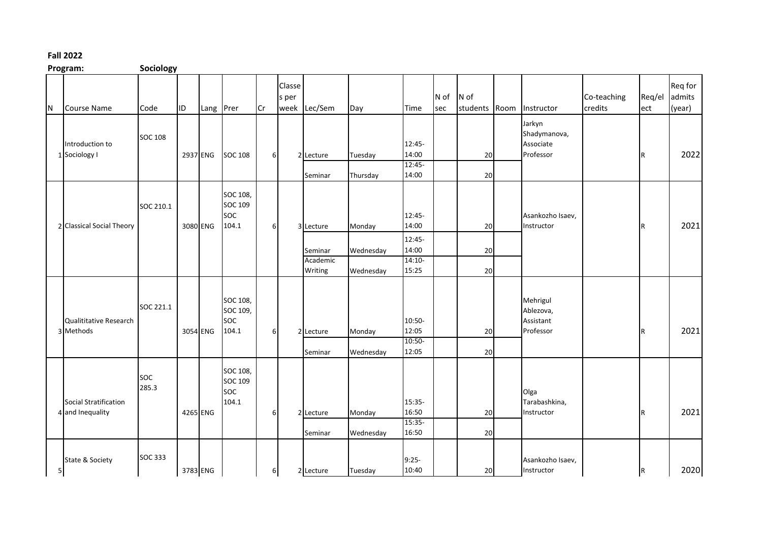## **Fall 2022**

**Program: Sociology**

|                | - o - - - - -                             | --------            |    |           |                                             |    |                 |                                             |                                  |                                                         |             |                  |      |                                                  |                        |                         |                             |
|----------------|-------------------------------------------|---------------------|----|-----------|---------------------------------------------|----|-----------------|---------------------------------------------|----------------------------------|---------------------------------------------------------|-------------|------------------|------|--------------------------------------------------|------------------------|-------------------------|-----------------------------|
| N              | <b>Course Name</b>                        | Code                | ID | Lang Prer |                                             | Cr | Classe<br>s per | week Lec/Sem                                | Day                              | Time                                                    | N of<br>sec | N of<br>students | Room | Instructor                                       | Co-teaching<br>credits | Req/el<br>ect           | Req for<br>admits<br>(year) |
|                | Introduction to<br>1 Sociology I          | <b>SOC 108</b>      |    | 2937 ENG  | <b>SOC 108</b>                              | 6  |                 | 2 Lecture<br>Seminar                        | Tuesday<br>Thursday              | 12:45-<br>14:00<br>$12:45-$<br>14:00                    |             | 20<br>20         |      | Jarkyn<br>Shadymanova,<br>Associate<br>Professor |                        | $\mathsf R$             | 2022                        |
|                | 2 Classical Social Theory                 | SOC 210.1           |    | 3080 ENG  | SOC 108,<br>SOC 109<br>soc<br>104.1         | 6  |                 | 3 Lecture<br>Seminar<br>Academic<br>Writing | Monday<br>Wednesday<br>Wednesday | 12:45-<br>14:00<br>12:45-<br>14:00<br>$14:10-$<br>15:25 |             | 20<br>20<br>20   |      | Asankozho Isaev,<br>Instructor                   |                        | $\mathsf R$             | 2021                        |
|                | Qualititative Research<br>3 Methods       | SOC 221.1           |    | 3054 ENG  | SOC 108,<br>SOC 109,<br><b>SOC</b><br>104.1 | 6  |                 | 2 Lecture<br>Seminar                        | Monday<br>Wednesday              | 10:50-<br>12:05<br>10:50-<br>12:05                      |             | 20<br>20         |      | Mehrigul<br>Ablezova,<br>Assistant<br>Professor  |                        | $\overline{\mathsf{R}}$ | 2021                        |
|                | Social Stratification<br>4 and Inequality | <b>SOC</b><br>285.3 |    | 4265 ENG  | SOC 108,<br>SOC 109<br><b>SOC</b><br>104.1  | 6  |                 | 2 Lecture<br>Seminar                        | Monday<br>Wednesday              | 15:35-<br>16:50<br>15:35-<br>16:50                      |             | 20<br>20         |      | Olga<br>Tarabashkina,<br>Instructor              |                        | R                       | 2021                        |
| 5 <sub>l</sub> | State & Society                           | <b>SOC 333</b>      |    | 3783 ENG  |                                             | 6  |                 | 2 Lecture                                   | Tuesday                          | $9:25-$<br>10:40                                        |             | 20 <sup>1</sup>  |      | Asankozho Isaev,<br>Instructor                   |                        | R                       | 2020                        |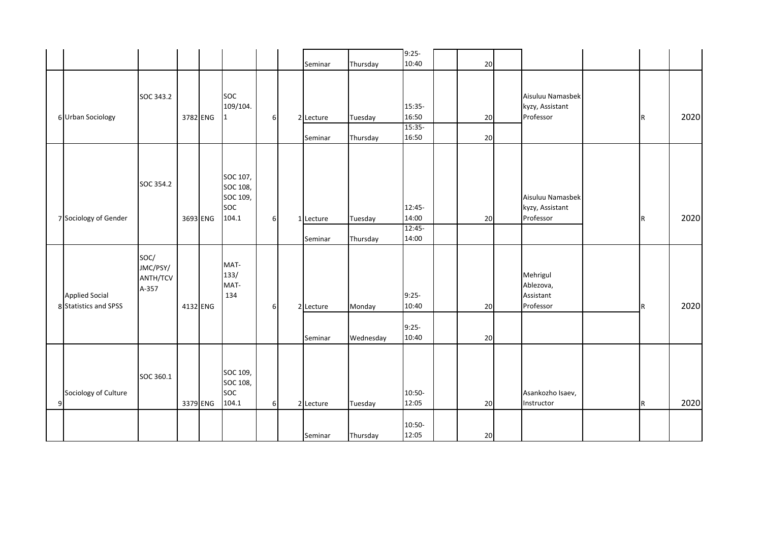|   |                                                |                                       |          |          |                                                  |          | Seminar   | Thursday  | $9:25-$<br>10:40 | $20\,$ |                                                  |     |      |
|---|------------------------------------------------|---------------------------------------|----------|----------|--------------------------------------------------|----------|-----------|-----------|------------------|--------|--------------------------------------------------|-----|------|
|   |                                                | SOC 343.2                             |          |          | SOC                                              |          |           |           |                  |        | Aisuluu Namasbek                                 |     |      |
|   | 6 Urban Sociology                              |                                       |          | 3782 ENG | 109/104.<br>1                                    | 6        | 2 Lecture | Tuesday   | 15:35-<br>16:50  | 20     | kyzy, Assistant<br>Professor                     | IR. | 2020 |
|   |                                                |                                       |          |          |                                                  |          | Seminar   | Thursday  | 15:35-<br>16:50  | 20     |                                                  |     |      |
|   | 7 Sociology of Gender                          | SOC 354.2                             | 3693 ENG |          | SOC 107,<br>SOC 108,<br>SOC 109,<br>soc<br>104.1 | 6        | 1 Lecture | Tuesday   | 12:45-<br>14:00  | 20     | Aisuluu Namasbek<br>kyzy, Assistant<br>Professor | R.  | 2020 |
|   |                                                |                                       |          |          |                                                  |          | Seminar   | Thursday  | 12:45-<br>14:00  |        |                                                  |     |      |
|   | <b>Applied Social</b><br>8 Statistics and SPSS | SOC/<br>JMC/PSY/<br>ANTH/TCV<br>A-357 | 4132 ENG |          | MAT-<br>133/<br>MAT-<br>134                      | 6        | 2 Lecture | Monday    | $9:25-$<br>10:40 | 20     | Mehrigul<br>Ablezova,<br>Assistant<br>Professor  | R.  | 2020 |
|   |                                                |                                       |          |          |                                                  |          | Seminar   | Wednesday | $9:25-$<br>10:40 | 20     |                                                  |     |      |
| 9 | Sociology of Culture                           | SOC 360.1                             |          | 3379 ENG | SOC 109,<br>SOC 108,<br>soc<br>104.1             | $6 \mid$ | 2 Lecture | Tuesday   | 10:50-<br>12:05  | 20     | Asankozho Isaev,<br>Instructor                   | R   | 2020 |
|   |                                                |                                       |          |          |                                                  |          | Seminar   | Thursday  | 10:50-<br>12:05  | 20     |                                                  |     |      |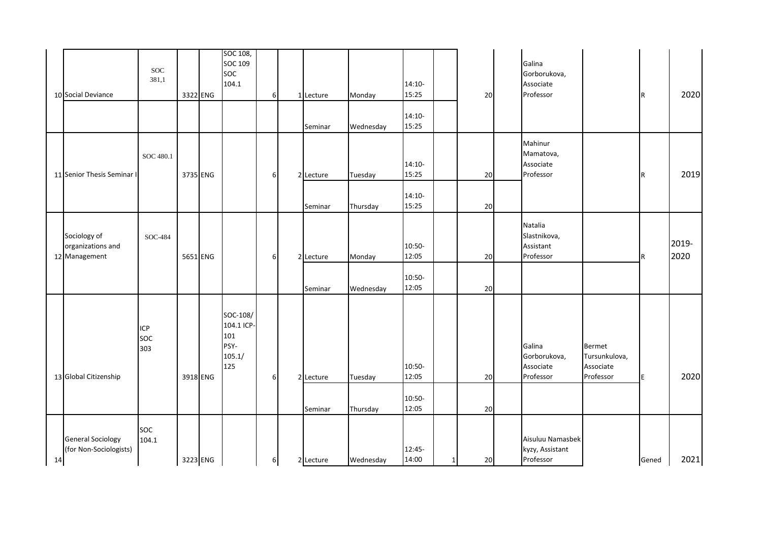|    | 10 Social Deviance                                 | <b>SOC</b><br>381,1 | 3322 ENG |          | SOC 108,<br>SOC 109<br>soc<br>104.1                    | 6 | 1 Lecture<br>Seminar | Monday<br>Wednesday | $14:10-$<br>15:25<br>$14:10-$<br>15:25 |          | 20           | Galina<br>Gorborukova,<br>Associate<br>Professor  |                                                          | R     | 2020          |
|----|----------------------------------------------------|---------------------|----------|----------|--------------------------------------------------------|---|----------------------|---------------------|----------------------------------------|----------|--------------|---------------------------------------------------|----------------------------------------------------------|-------|---------------|
|    | 11 Senior Thesis Seminar I                         | SOC 480.1           |          | 3735 ENG |                                                        | 6 | 2 Lecture<br>Seminar | Tuesday<br>Thursday | $14:10-$<br>15:25<br>$14:10-$<br>15:25 |          | 20<br>20     | Mahinur<br>Mamatova,<br>Associate<br>Professor    |                                                          | R     | 2019          |
|    | Sociology of<br>organizations and<br>12 Management | SOC-484             |          | 5651 ENG |                                                        | 6 | 2 Lecture<br>Seminar | Monday<br>Wednesday | 10:50-<br>12:05<br>10:50-<br>12:05     |          | 20<br>$20\,$ | Natalia<br>Slastnikova,<br>Assistant<br>Professor |                                                          | R.    | 2019-<br>2020 |
|    | 13 Global Citizenship                              | ICP<br>SOC<br>303   |          | 3918 ENG | SOC-108/<br>104.1 ICP-<br>101<br>PSY-<br>105.1/<br>125 | 6 | 2 Lecture<br>Seminar | Tuesday<br>Thursday | 10:50-<br>12:05<br>10:50-<br>12:05     |          | 20<br>$20\,$ | Galina<br>Gorborukova,<br>Associate<br>Professor  | <b>Bermet</b><br>Tursunkulova,<br>Associate<br>Professor | E     | 2020          |
| 14 | <b>General Sociology</b><br>(for Non-Sociologists) | <b>SOC</b><br>104.1 | 3223 ENG |          |                                                        | 6 | 2 Lecture            | Wednesday           | 12:45-<br>14:00                        | $1\vert$ | 20           | Aisuluu Namasbek<br>kyzy, Assistant<br>Professor  |                                                          | Gened | 2021          |